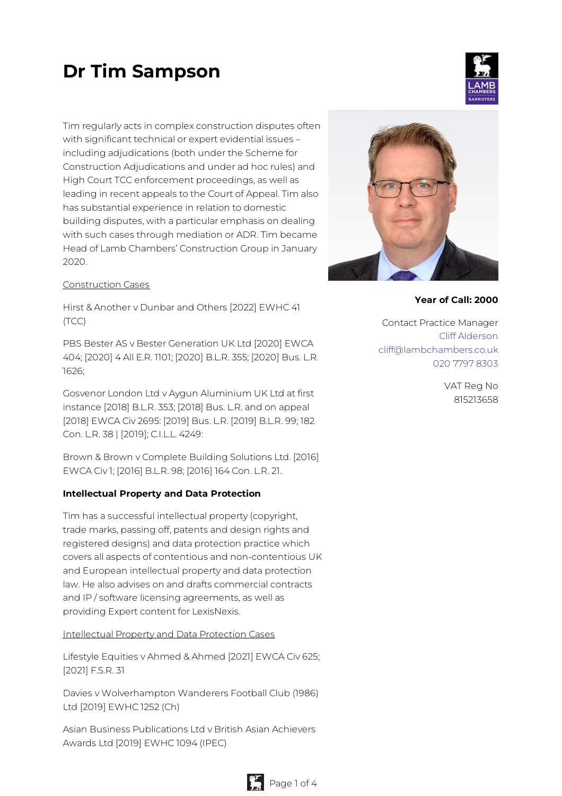# **Dr Tim Sampson**



Tim regularly acts in complex construction disputes often with significant technical or expert evidential issues – including adjudications (both under the Scheme for Construction Adjudications and under ad hoc rules) and High Court TCC enforcement proceedings, as well as leading in recent appeals to the Court of Appeal. Tim also has substantial experience in relation to domestic building disputes, with a particular emphasis on dealing with such cases through mediation or ADR. Tim became Head of Lamb Chambers' Construction Group in January 2020.

#### Construction Cases

Hirst & Another v Dunbar and Others [2022] EWHC 41 (TCC)

PBS Bester AS v Bester Generation UK Ltd [2020] EWCA 404; [2020] 4 All E.R. 1101; [2020] B.L.R. 355; [2020] Bus. L.R. 1626;

Gosvenor London Ltd v Aygun Aluminium UK Ltd at first instance [2018] B.L.R. 353; [2018] Bus. L.R. and on appeal [2018] EWCA Civ 2695: [2019] Bus. L.R. [2019] B.L.R. 99; 182 Con. L.R. 38 | [2019]; C.I.L.L. 4249:

Brown & Brown v Complete Building Solutions Ltd. [2016] EWCA Civ 1; [2016] B.L.R. 98; [2016] 164 Con. L.R. 21.

#### **Intellectual Property and Data Protection**

Tim has a successful intellectual property (copyright, trade marks, passing off, patents and design rights and registered designs) and data protection practice which covers all aspects of contentious and non-contentious UK and European intellectual property and data protection law. He also advises on and drafts commercial contracts and IP / software licensing agreements, as well as providing Expert content for LexisNexis.

#### Intellectual Property and Data Protection Cases

Lifestyle Equities v Ahmed & Ahmed [2021] EWCA Civ 625; [2021] F.S.R. 31

Davies v Wolverhampton Wanderers Football Club (1986) Ltd [2019] EWHC 1252 (Ch)

Asian Business Publications Ltd v British Asian Achievers Awards Ltd [2019] EWHC 1094 (IPEC)



#### **Year of Call: 2000**

Contact Practice Manager Cliff [Alderson](mailto:cliff@lambchambers.co.uk) [cliff@lambchambers.co.uk](mailto:cliff@lambchambers.co.uk) 020 7797 [8303](tel:020%207797%208303)

> VAT Reg No 815213658

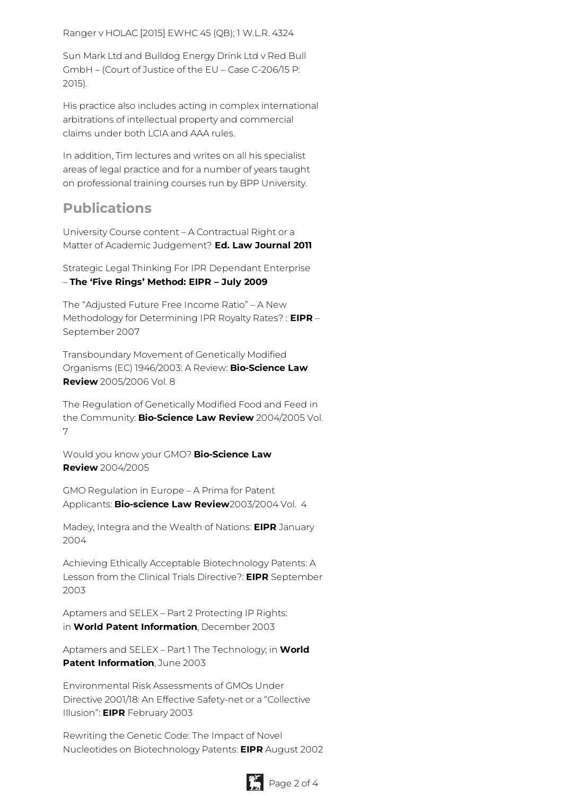Ranger v HOLAC [2015] EWHC 45 (QB); 1 W.L.R. 4324

Sun Mark Ltd and Bulldog Energy Drink Ltd v Red Bull GmbH – (Court of Justice of the EU – Case C-206/15 P: 2015).

His practice also includes acting in complex international arbitrations of intellectual property and commercial claims under both LCIA and AAA rules.

In addition, Tim lectures and writes on all his specialist areas of legal practice and for a number of years taught on professional training courses run by BPP University.

## **Publications**

University Course content – A Contractual Right or a Matter of Academic Judgement? **Ed. Law Journal 2011**

Strategic Legal Thinking For IPR Dependant Enterprise – **The 'Five Rings' Method: EIPR – July 2009**

The "Adjusted Future Free Income Ratio" – A New Methodology for Determining IPR Royalty Rates? : **EIPR** – September 2007

Transboundary Movement of Genetically Modified Organisms (EC) 1946/2003: A Review: **Bio-Science Law Review** 2005/2006 Vol. 8

The Regulation of Genetically Modified Food and Feed in the Community: **Bio-Science Law Review** 2004/2005 Vol. 7

Would you know your GMO? **Bio-Science Law Review** 2004/2005

GMO Regulation in Europe – A Prima for Patent Applicants: **Bio-science Law Review**2003/2004 Vol. 4

Madey, Integra and the Wealth of Nations: **EIPR** January 2004

Achieving Ethically Acceptable Biotechnology Patents: A Lesson from the Clinical Trials Directive?: **EIPR** September 2003

Aptamers and SELEX – Part 2 Protecting IP Rights: in **World Patent Information**, December 2003

Aptamers and SELEX – Part 1 The Technology; in **World Patent Information**, June 2003

Environmental Risk Assessments of GMOs Under Directive 2001/18: An Effective Safety-net or a "Collective Illusion": **EIPR** February 2003

Rewriting the Genetic Code: The Impact of Novel Nucleotides on Biotechnology Patents: **EIPR** August 2002

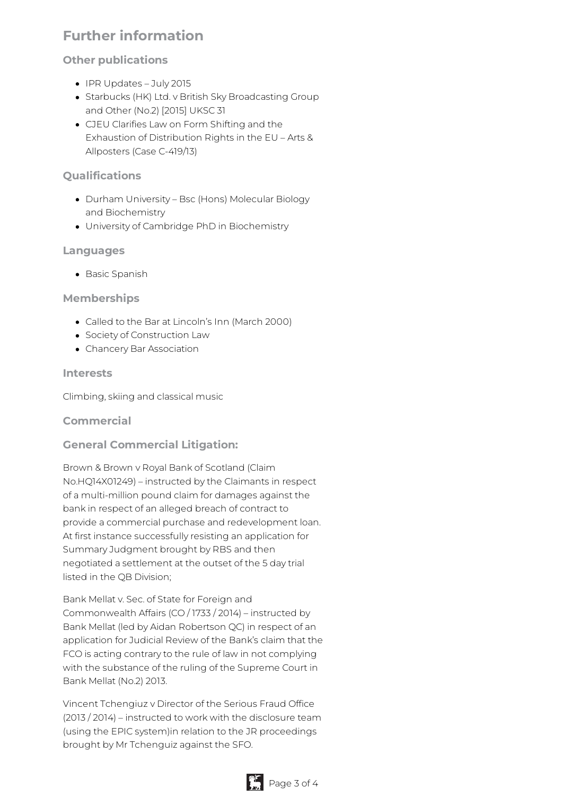# **Further information**

## **Other publications**

- IPR Updates July 2015
- Starbucks (HK) Ltd. v British Sky Broadcasting Group and Other (No.2) [2015] UKSC 31
- CJEU Clarifies Law on Form Shifting and the Exhaustion of Distribution Rights in the EU – Arts & Allposters (Case C-419/13)

## **Qualifications**

- Durham University Bsc (Hons) Molecular Biology and Biochemistry
- University of Cambridge PhD in Biochemistry

## **Languages**

• Basic Spanish

#### **Memberships**

- Called to the Bar at Lincoln's Inn (March 2000)
- Society of Construction Law
- Chancery Bar Association

#### **Interests**

Climbing, skiing and classical music

## **Commercial**

## **General Commercial Litigation:**

Brown & Brown v Royal Bank of Scotland (Claim No.HQ14X01249) – instructed by the Claimants in respect of a multi-million pound claim for damages against the bank in respect of an alleged breach of contract to provide a commercial purchase and redevelopment loan. At first instance successfully resisting an application for Summary Judgment brought by RBS and then negotiated a settlement at the outset of the 5 day trial listed in the QB Division;

Bank Mellat v. Sec. of State for Foreign and Commonwealth Affairs (CO / 1733 / 2014) – instructed by Bank Mellat (led by Aidan Robertson QC) in respect of an application for Judicial Review of the Bank's claim that the FCO is acting contrary to the rule of law in not complying with the substance of the ruling of the Supreme Court in Bank Mellat (No.2) 2013.

Vincent Tchengiuz v Director of the Serious Fraud Office (2013 / 2014) – instructed to work with the disclosure team (using the EPIC system)in relation to the JR proceedings brought by Mr Tchenguiz against the SFO.